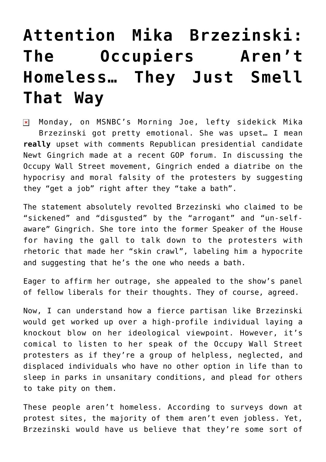## **[Attention Mika Brzezinski:](https://bernardgoldberg.com/attention-mika-brzezinski-the-occupiers-arent-homeless-they-just-smell-that-way/) [The Occupiers Aren't](https://bernardgoldberg.com/attention-mika-brzezinski-the-occupiers-arent-homeless-they-just-smell-that-way/) [Homeless… They Just Smell](https://bernardgoldberg.com/attention-mika-brzezinski-the-occupiers-arent-homeless-they-just-smell-that-way/) [That Way](https://bernardgoldberg.com/attention-mika-brzezinski-the-occupiers-arent-homeless-they-just-smell-that-way/)**

Monday, on MSNBC's Morning Joe, lefty sidekick Mika  $\pmb{\times}$ Brzezinski got pretty emotional. She was upset… I mean **really** upset with comments Republican presidential candidate Newt Gingrich made at a recent GOP forum. In discussing the Occupy Wall Street movement, Gingrich ended a diatribe on the hypocrisy and moral falsity of the protesters by suggesting they "get a job" right after they "take a bath".

The statement absolutely revolted Brzezinski who claimed to be "sickened" and "disgusted" by the "arrogant" and "un-selfaware" Gingrich. She tore into the former Speaker of the House for having the gall to talk down to the protesters with rhetoric that made her "skin crawl", labeling him a hypocrite and suggesting that he's the one who needs a bath.

Eager to affirm her outrage, she appealed to the show's panel of fellow liberals for their thoughts. They of course, agreed.

Now, I can understand how a fierce partisan like Brzezinski would get worked up over a high-profile individual laying a knockout blow on her ideological viewpoint. However, it's comical to listen to her speak of the Occupy Wall Street protesters as if they're a group of helpless, neglected, and displaced individuals who have no other option in life than to sleep in parks in unsanitary conditions, and plead for others to take pity on them.

These people aren't homeless. According to surveys down at protest sites, the majority of them aren't even jobless. Yet, Brzezinski would have us believe that they're some sort of